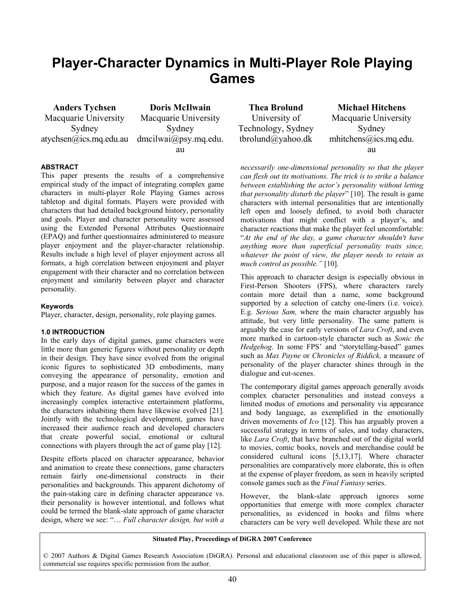# **Player-Character Dynamics in Multi-Player Role Playing Games**

**Anders Tychsen**  Macquarie University Sydney atychsen@ics.mq.edu.au dmcilwai@psy.mq.edu.

**Doris McIlwain**  Macquarie University Sydney au

# **ABSTRACT**

This paper presents the results of a comprehensive empirical study of the impact of integrating complex game characters in multi-player Role Playing Games across tabletop and digital formats. Players were provided with characters that had detailed background history, personality and goals. Player and character personality were assessed using the Extended Personal Attributes Questionnaire (EPAQ) and further questionnaires administered to measure player enjoyment and the player-character relationship. Results include a high level of player enjoyment across all formats, a high correlation between enjoyment and player engagement with their character and no correlation between enjoyment and similarity between player and character personality.

## **Keywords**

Player, character, design, personality, role playing games.

## **1.0 INTRODUCTION**

In the early days of digital games, game characters were little more than generic figures without personality or depth in their design. They have since evolved from the original iconic figures to sophisticated 3D embodiments, many conveying the appearance of personality, emotion and purpose, and a major reason for the success of the games in which they feature. As digital games have evolved into increasingly complex interactive entertainment platforms, the characters inhabiting them have likewise evolved [21]*.*  Jointly with the technological development, games have increased their audience reach and developed characters that create powerful social, emotional or cultural connections with players through the act of game play [12].

Despite efforts placed on character appearance, behavior and animation to create these connections, game characters remain fairly one-dimensional constructs in their personalities and backgrounds. This apparent dichotomy of the pain-staking care in defining character appearance vs. their personality is however intentional, and follows what could be termed the blank-slate approach of game character design, where we see: "… *Full character design, but with a* 

**Thea Brolund**  University of Technology, Sydney tbrolund@yahoo.dk

**Michael Hitchens**  Macquarie University Sydney mhitchens@ics.mq.edu. au

*necessarily one-dimensional personality so that the player can flesh out its motivations. The trick is to strike a balance between establishing the actor's personality without letting that personality disturb the player*" [10]. The result is game characters with internal personalities that are intentionally left open and loosely defined, to avoid both character motivations that might conflict with a player's, and character reactions that make the player feel uncomfortable: "*At the end of the day, a game character shouldn't have anything more than superficial personality traits since, whatever the point of view, the player needs to retain as much control as possible."* [10].

This approach to character design is especially obvious in First-Person Shooters (FPS), where characters rarely contain more detail than a name, some background supported by a selection of catchy one-liners (i.e. voice). E.g. *Serious Sam,* where the main character arguably has attitude, but very little personality. The same pattern is arguably the case for early versions of *Lara Croft*, and even more marked in cartoon-style character such as *Sonic the Hedgehog*. In some FPS' and "storytelling-based" games such as *Max Payne* or *Chronicles of Riddick,* a measure of personality of the player character shines through in the dialogue and cut-scenes.

The contemporary digital games approach generally avoids complex character personalities and instead conveys a limited modus of emotions and personality via appearance and body language, as exemplified in the emotionally driven movements of *Ico* [12]. This has arguably proven a successful strategy in terms of sales, and today characters, like *Lara Croft*, that have branched out of the digital world to movies, comic books, novels and merchandise could be considered cultural icons [5,13,17]. Where character personalities are comparatively more elaborate, this is often at the expense of player freedom, as seen in heavily scripted console games such as the *Final Fantasy* series.

However, the blank-slate approach ignores some opportunities that emerge with more complex character personalities, as evidenced in books and films where characters can be very well developed. While these are not

## **Situated Play, Proceedings of DiGRA 2007 Conference**

© 2007 Authors & Digital Games Research Association (DiGRA). Personal and educational classroom use of this paper is allowed, commercial use requires specific permission from the author.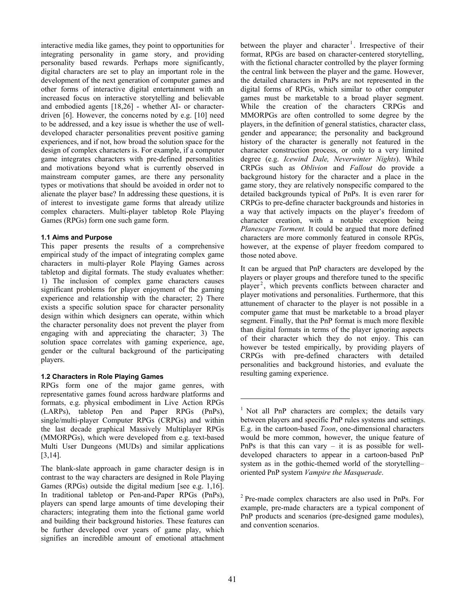interactive media like games, they point to opportunities for integrating personality in game story, and providing personality based rewards. Perhaps more significantly, digital characters are set to play an important role in the development of the next generation of computer games and other forms of interactive digital entertainment with an increased focus on interactive storytelling and believable and embodied agents [18,26] - whether AI- or characterdriven [6]. However, the concerns noted by e.g. [10] need to be addressed, and a key issue is whether the use of welldeveloped character personalities prevent positive gaming experiences, and if not, how broad the solution space for the design of complex characters is. For example, if a computer game integrates characters with pre-defined personalities and motivations beyond what is currently observed in mainstream computer games, are there any personality types or motivations that should be avoided in order not to alienate the player base? In addressing these questions, it is of interest to investigate game forms that already utilize complex characters. Multi-player tabletop Role Playing Games (RPGs) form one such game form.

## **1.1 Aims and Purpose**

This paper presents the results of a comprehensive empirical study of the impact of integrating complex game characters in multi-player Role Playing Games across tabletop and digital formats. The study evaluates whether: 1) The inclusion of complex game characters causes significant problems for player enjoyment of the gaming experience and relationship with the character; 2) There exists a specific solution space for character personality design within which designers can operate, within which the character personality does not prevent the player from engaging with and appreciating the character; 3) The solution space correlates with gaming experience, age, gender or the cultural background of the participating players.

# **1.2 Characters in Role Playing Games**

RPGs form one of the major game genres, with representative games found across hardware platforms and formats, e.g. physical embodiment in Live Action RPGs (LARPs), tabletop Pen and Paper RPGs (PnPs), single/multi-player Computer RPGs (CRPGs) and within the last decade graphical Massively Multiplayer RPGs (MMORPGs), which were developed from e.g. text-based Multi User Dungeons (MUDs) and similar applications [3,14].

The blank-slate approach in game character design is in contrast to the way characters are designed in Role Playing Games (RPGs) outside the digital medium [see e.g. 1,16]. In traditional tabletop or Pen-and-Paper RPGs (PnPs), players can spend large amounts of time developing their characters; integrating them into the fictional game world and building their background histories. These features can be further developed over years of game play, which signifies an incredible amount of emotional attachment between the player and character<sup>1</sup>. Irrespective of their format, RPGs are based on character-centered storytelling, with the fictional character controlled by the player forming the central link between the player and the game. However, the detailed characters in PnPs are not represented in the digital forms of RPGs, which similar to other computer games must be marketable to a broad player segment. While the creation of the characters CRPGs and MMORPGs are often controlled to some degree by the players, in the definition of general statistics, character class, gender and appearance; the personality and background history of the character is generally not featured in the character construction process, or only to a very limited degree (e.g. *Icewind Dale, Neverwinter Nights*). While CRPGs such as *Oblivion* and *Fallout* do provide a background history for the character and a place in the game story, they are relatively nonspecific compared to the detailed backgrounds typical of PnPs. It is even rarer for CRPGs to pre-define character backgrounds and histories in a way that actively impacts on the player's freedom of character creation, with a notable exception being *Planescape Torment.* It could be argued that more defined characters are more commonly featured in console RPGs, however, at the expense of player freedom compared to those noted above.

It can be argued that PnP characters are developed by the players or player groups and therefore tuned to the specific player<sup>2</sup>, which prevents conflicts between character and player motivations and personalities. Furthermore, that this attunement of character to the player is not possible in a computer game that must be marketable to a broad player segment. Finally, that the PnP format is much more flexible than digital formats in terms of the player ignoring aspects of their character which they do not enjoy. This can however be tested empirically, by providing players of CRPGs with pre-defined characters with detailed personalities and background histories, and evaluate the resulting gaming experience.

<sup>2</sup> Pre-made complex characters are also used in PnPs. For example, pre-made characters are a typical component of PnP products and scenarios (pre-designed game modules), and convention scenarios.

l

<sup>&</sup>lt;sup>1</sup> Not all PnP characters are complex; the details vary between players and specific PnP rules systems and settings. E.g. in the cartoon-based *Toon*, one-dimensional characters would be more common, however, the unique feature of PnPs is that this can vary – it is as possible for welldeveloped characters to appear in a cartoon-based PnP system as in the gothic-themed world of the storytelling– oriented PnP system *Vampire the Masquerade*.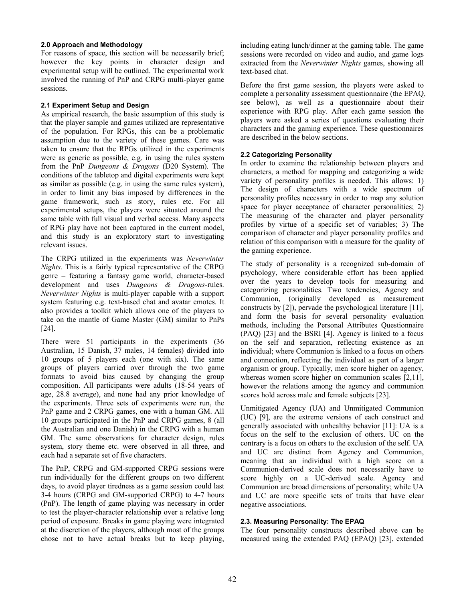## **2.0 Approach and Methodology**

For reasons of space, this section will be necessarily brief; however the key points in character design and experimental setup will be outlined. The experimental work involved the running of PnP and CRPG multi-player game sessions.

# **2.1 Experiment Setup and Design**

As empirical research, the basic assumption of this study is that the player sample and games utilized are representative of the population. For RPGs, this can be a problematic assumption due to the variety of these games. Care was taken to ensure that the RPGs utilized in the experiments were as generic as possible, e.g. in using the rules system from the PnP *Dungeons & Dragons* (D20 System). The conditions of the tabletop and digital experiments were kept as similar as possible (e.g. in using the same rules system), in order to limit any bias imposed by differences in the game framework, such as story, rules etc. For all experimental setups, the players were situated around the same table with full visual and verbal access. Many aspects of RPG play have not been captured in the current model, and this study is an exploratory start to investigating relevant issues.

The CRPG utilized in the experiments was *Neverwinter Nights.* This is a fairly typical representative of the CRPG genre – featuring a fantasy game world, character-based development and uses *Dungeons & Dragons*-rules. *Neverwinter Nights* is multi-player capable with a support system featuring e.g. text-based chat and avatar emotes. It also provides a toolkit which allows one of the players to take on the mantle of Game Master (GM) similar to PnPs [24].

There were 51 participants in the experiments (36 Australian, 15 Danish, 37 males, 14 females) divided into 10 groups of 5 players each (one with six). The same groups of players carried over through the two game formats to avoid bias caused by changing the group composition. All participants were adults (18-54 years of age, 28.8 average), and none had any prior knowledge of the experiments. Three sets of experiments were run, the PnP game and 2 CRPG games, one with a human GM. All 10 groups participated in the PnP and CRPG games, 8 (all the Australian and one Danish) in the CRPG with a human GM. The same observations for character design, rules system, story theme etc. were observed in all three, and each had a separate set of five characters.

The PnP, CRPG and GM-supported CRPG sessions were run individually for the different groups on two different days, to avoid player tiredness as a game session could last 3-4 hours (CRPG and GM-supported CRPG) to 4-7 hours (PnP). The length of game playing was necessary in order to test the player-character relationship over a relative long period of exposure. Breaks in game playing were integrated at the discretion of the players, although most of the groups chose not to have actual breaks but to keep playing,

including eating lunch/dinner at the gaming table. The game sessions were recorded on video and audio, and game logs extracted from the *Neverwinter Nights* games, showing all text-based chat.

Before the first game session, the players were asked to complete a personality assessment questionnaire (the EPAQ, see below), as well as a questionnaire about their experience with RPG play. After each game session the players were asked a series of questions evaluating their characters and the gaming experience. These questionnaires are described in the below sections.

# **2.2 Categorizing Personality**

In order to examine the relationship between players and characters, a method for mapping and categorizing a wide variety of personality profiles is needed. This allows: 1) The design of characters with a wide spectrum of personality profiles necessary in order to map any solution space for player acceptance of character personalities; 2) The measuring of the character and player personality profiles by virtue of a specific set of variables; 3) The comparison of character and player personality profiles and relation of this comparison with a measure for the quality of the gaming experience.

The study of personality is a recognized sub-domain of psychology, where considerable effort has been applied over the years to develop tools for measuring and categorizing personalities. Two tendencies, Agency and Communion, (originally developed as measurement constructs by [2]), pervade the psychological literature [11], and form the basis for several personality evaluation methods, including the Personal Attributes Questionnaire (PAQ) [23] and the BSRI [4]. Agency is linked to a focus on the self and separation, reflecting existence as an individual; where Communion is linked to a focus on others and connection, reflecting the individual as part of a larger organism or group. Typically, men score higher on agency, whereas women score higher on communion scales [2,11], however the relations among the agency and communion scores hold across male and female subjects [23].

Unmitigated Agency (UA) and Unmitigated Communion (UC) [9], are the extreme versions of each construct and generally associated with unhealthy behavior [11]: UA is a focus on the self to the exclusion of others. UC on the contrary is a focus on others to the exclusion of the self. UA and UC are distinct from Agency and Communion, meaning that an individual with a high score on a Communion-derived scale does not necessarily have to score highly on a UC-derived scale. Agency and Communion are broad dimensions of personality; while UA and UC are more specific sets of traits that have clear negative associations.

# **2.3. Measuring Personality: The EPAQ**

The four personality constructs described above can be measured using the extended PAQ (EPAQ) [23], extended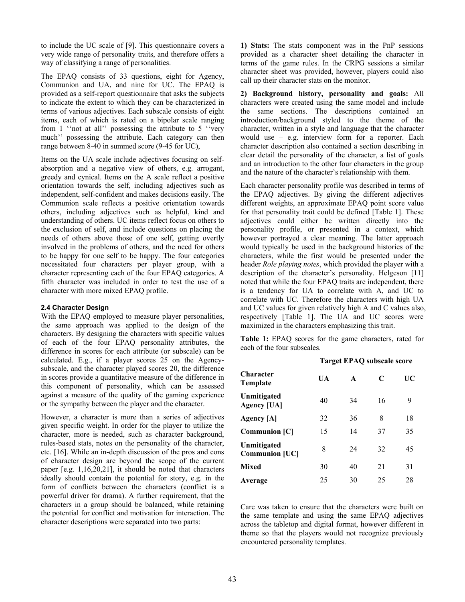to include the UC scale of [9]. This questionnaire covers a very wide range of personality traits, and therefore offers a way of classifying a range of personalities.

The EPAQ consists of 33 questions, eight for Agency, Communion and UA, and nine for UC. The EPAQ is provided as a self-report questionnaire that asks the subjects to indicate the extent to which they can be characterized in terms of various adjectives. Each subscale consists of eight items, each of which is rated on a bipolar scale ranging from 1 ''not at all'' possessing the attribute to 5 ''very much'' possessing the attribute. Each category can then range between 8-40 in summed score (9-45 for UC),

Items on the UA scale include adjectives focusing on selfabsorption and a negative view of others, e.g. arrogant, greedy and cynical. Items on the A scale reflect a positive orientation towards the self, including adjectives such as independent, self-confident and makes decisions easily. The Communion scale reflects a positive orientation towards others, including adjectives such as helpful, kind and understanding of others. UC items reflect focus on others to the exclusion of self, and include questions on placing the needs of others above those of one self, getting overtly involved in the problems of others, and the need for others to be happy for one self to be happy. The four categories necessitated four characters per player group, with a character representing each of the four EPAQ categories. A fifth character was included in order to test the use of a character with more mixed EPAQ profile.

## **2.4 Character Design**

With the EPAQ employed to measure player personalities, the same approach was applied to the design of the characters. By designing the characters with specific values of each of the four EPAQ personality attributes, the difference in scores for each attribute (or subscale) can be calculated. E.g., if a player scores 25 on the Agencysubscale, and the character played scores 20, the difference in scores provide a quantitative measure of the difference in this component of personality, which can be assessed against a measure of the quality of the gaming experience or the sympathy between the player and the character.

However, a character is more than a series of adjectives given specific weight. In order for the player to utilize the character, more is needed, such as character background, rules-based stats, notes on the personality of the character, etc. [16]. While an in-depth discussion of the pros and cons of character design are beyond the scope of the current paper [e.g. 1,16,20,21], it should be noted that characters ideally should contain the potential for story, e.g. in the form of conflicts between the characters (conflict is a powerful driver for drama). A further requirement, that the characters in a group should be balanced, while retaining the potential for conflict and motivation for interaction. The character descriptions were separated into two parts:

**1) Stats:** The stats component was in the PnP sessions provided as a character sheet detailing the character in terms of the game rules. In the CRPG sessions a similar character sheet was provided, however, players could also call up their character stats on the monitor.

**2) Background history, personality and goals:** All characters were created using the same model and include the same sections. The descriptions contained an introduction/background styled to the theme of the character, written in a style and language that the character would use – e.g. interview form for a reporter. Each character description also contained a section describing in clear detail the personality of the character, a list of goals and an introduction to the other four characters in the group and the nature of the character's relationship with them.

Each character personality profile was described in terms of the EPAQ adjectives. By giving the different adjectives different weights, an approximate EPAQ point score value for that personality trait could be defined [Table 1]. These adjectives could either be written directly into the personality profile, or presented in a context, which however portrayed a clear meaning. The latter approach would typically be used in the background histories of the characters, while the first would be presented under the header *Role playing notes*, which provided the player with a description of the character's personality. Helgeson [11] noted that while the four EPAQ traits are independent, there is a tendency for UA to correlate with A, and UC to correlate with UC. Therefore the characters with high UA and UC values for given relatively high A and C values also, respectively [Table 1]. The UA and UC scores were maximized in the characters emphasizing this trait.

**Table 1:** EPAQ scores for the game characters, rated for each of the four subscales.

## **Target EPAQ subscale score**

| Character<br>Template                | UA | A  | C  | UC |
|--------------------------------------|----|----|----|----|
| Unmitigated<br><b>Agency [UA]</b>    | 40 | 34 | 16 | 9  |
| Agency [A]                           | 32 | 36 | 8  | 18 |
| <b>Communion [C]</b>                 | 15 | 14 | 37 | 35 |
| Unmitigated<br><b>Communion [UC]</b> | 8  | 24 | 32 | 45 |
| Mixed                                | 30 | 40 | 21 | 31 |
| Average                              | 25 | 30 | 25 | 28 |

Care was taken to ensure that the characters were built on the same template and using the same EPAQ adjectives across the tabletop and digital format, however different in theme so that the players would not recognize previously encountered personality templates.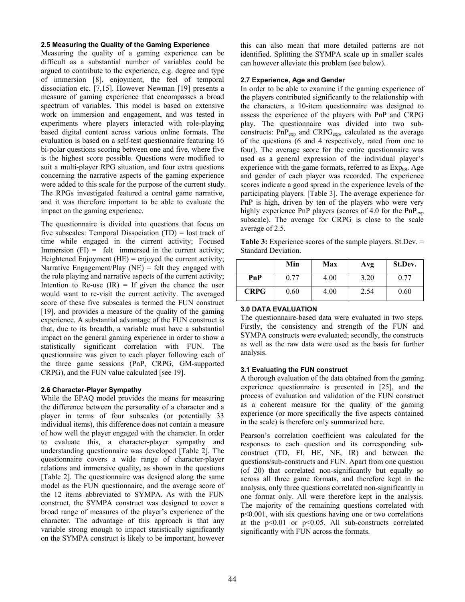#### **2.5 Measuring the Quality of the Gaming Experience**

Measuring the quality of a gaming experience can be difficult as a substantial number of variables could be argued to contribute to the experience, e.g. degree and type of immersion [8], enjoyment, the feel of temporal dissociation etc. [7,15]. However Newman [19] presents a measure of gaming experience that encompasses a broad spectrum of variables. This model is based on extensive work on immersion and engagement, and was tested in experiments where players interacted with role-playing based digital content across various online formats. The evaluation is based on a self-test questionnaire featuring 16 bi-polar questions scoring between one and five, where five is the highest score possible. Questions were modified to suit a multi-player RPG situation, and four extra questions concerning the narrative aspects of the gaming experience were added to this scale for the purpose of the current study. The RPGs investigated featured a central game narrative, and it was therefore important to be able to evaluate the impact on the gaming experience.

The questionnaire is divided into questions that focus on five subscales: Temporal Dissociation (TD) = lost track of time while engaged in the current activity; Focused Immersion  $(FI) = felt$  immersed in the current activity; Heightened Enjoyment  $(HE)$  = enjoyed the current activity; Narrative Engagement/Play (NE) = felt they engaged with the role playing and narrative aspects of the current activity; Intention to Re-use  $(IR) = If given the chance the user$ would want to re-visit the current activity. The averaged score of these five subscales is termed the FUN construct [19], and provides a measure of the quality of the gaming experience. A substantial advantage of the FUN construct is that, due to its breadth, a variable must have a substantial impact on the general gaming experience in order to show a statistically significant correlation with FUN. The questionnaire was given to each player following each of the three game sessions (PnP, CRPG, GM-supported CRPG), and the FUN value calculated [see 19].

## **2.6 Character-Player Sympathy**

While the EPAQ model provides the means for measuring the difference between the personality of a character and a player in terms of four subscales (or potentially 33 individual items), this difference does not contain a measure of how well the player engaged with the character. In order to evaluate this, a character-player sympathy and understanding questionnaire was developed [Table 2]. The questionnaire covers a wide range of character-player relations and immersive quality, as shown in the questions [Table 2]. The questionnaire was designed along the same model as the FUN questionnaire, and the average score of the 12 items abbreviated to SYMPA. As with the FUN construct, the SYMPA construct was designed to cover a broad range of measures of the player's experience of the character. The advantage of this approach is that any variable strong enough to impact statistically significantly on the SYMPA construct is likely to be important, however this can also mean that more detailed patterns are not identified. Splitting the SYMPA scale up in smaller scales can however alleviate this problem (see below).

#### **2.7 Experience, Age and Gender**

In order to be able to examine if the gaming experience of the players contributed significantly to the relationship with the characters, a 10-item questionnaire was designed to assess the experience of the players with PnP and CRPG play. The questionnaire was divided into two subconstructs:  $PnP_{exp}$  and  $CRPG_{exp}$ , calculated as the average of the questions (6 and 4 respectively, rated from one to four). The average score for the entire questionnaire was used as a general expression of the individual player's experience with the game formats, referred to as  $Exp_{tot}$ . Age and gender of each player was recorded. The experience scores indicate a good spread in the experience levels of the participating players. [Table 3]. The average experience for PnP is high, driven by ten of the players who were very highly experience PnP players (scores of 4.0 for the  $PnP_{exp}$ subscale). The average for CRPG is close to the scale average of 2.5.

**Table 3:** Experience scores of the sample players. St.Dev. = Standard Deviation.

|             | Min  | Max  | Avg  | St.Dev. |
|-------------|------|------|------|---------|
| PnP         | 0.77 | 4.00 | 3.20 | 0.77    |
| <b>CRPG</b> | 0.60 | 4.00 | 2.54 | 0.60    |

# **3.0 DATA EVALUATION**

The questionnaire-based data were evaluated in two steps. Firstly, the consistency and strength of the FUN and SYMPA constructs were evaluated; secondly, the constructs as well as the raw data were used as the basis for further analysis.

## **3.1 Evaluating the FUN construct**

A thorough evaluation of the data obtained from the gaming experience questionnaire is presented in [25], and the process of evaluation and validation of the FUN construct as a coherent measure for the quality of the gaming experience (or more specifically the five aspects contained in the scale) is therefore only summarized here.

Pearson's correlation coefficient was calculated for the responses to each question and its corresponding subconstruct (TD, FI, HE, NE, IR) and between the questions/sub-constructs and FUN. Apart from one question (of 20) that correlated non-significantly but equally so across all three game formats, and therefore kept in the analysis, only three questions correlated non-significantly in one format only. All were therefore kept in the analysis. The majority of the remaining questions correlated with p<0.001, with six questions having one or two correlations at the  $p<0.01$  or  $p<0.05$ . All sub-constructs correlated significantly with FUN across the formats.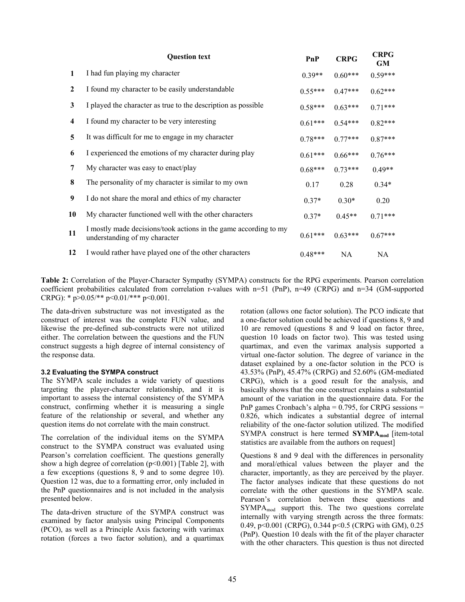| <b>CRPG</b><br>GM |
|-------------------|
| $0.59***$         |
| $0.62***$         |
| $0.71***$         |
| $0.82***$         |
| $0.87***$         |
| $0.76***$         |
| $0.49**$          |
| $0.34*$           |
| 0.20              |
| $0.71***$         |
| $0.67***$         |
| NA.               |
|                   |

**Table 2:** Correlation of the Player-Character Sympathy (SYMPA) constructs for the RPG experiments. Pearson correlation coefficient probabilities calculated from correlation r-values with n=51 (PnP), n=49 (CRPG) and n=34 (GM-supported CRPG): \*  $p > 0.05$ /\*\*  $p < 0.01$ /\*\*\*  $p < 0.001$ .

The data-driven substructure was not investigated as the construct of interest was the complete FUN value, and likewise the pre-defined sub-constructs were not utilized either. The correlation between the questions and the FUN construct suggests a high degree of internal consistency of the response data.

## **3.2 Evaluating the SYMPA construct**

The SYMPA scale includes a wide variety of questions targeting the player-character relationship, and it is important to assess the internal consistency of the SYMPA construct, confirming whether it is measuring a single feature of the relationship or several, and whether any question items do not correlate with the main construct.

The correlation of the individual items on the SYMPA construct to the SYMPA construct was evaluated using Pearson's correlation coefficient. The questions generally show a high degree of correlation  $(p<0.001)$  [Table 2], with a few exceptions (questions 8, 9 and to some degree 10). Question 12 was, due to a formatting error, only included in the PnP questionnaires and is not included in the analysis presented below.

The data-driven structure of the SYMPA construct was examined by factor analysis using Principal Components (PCO), as well as a Principle Axis factoring with varimax rotation (forces a two factor solution), and a quartimax rotation (allows one factor solution). The PCO indicate that a one-factor solution could be achieved if questions 8, 9 and 10 are removed (questions 8 and 9 load on factor three, question 10 loads on factor two). This was tested using quartimax, and even the varimax analysis supported a virtual one-factor solution. The degree of variance in the dataset explained by a one-factor solution in the PCO is 43.53% (PnP), 45.47% (CRPG) and 52.60% (GM-mediated CRPG), which is a good result for the analysis, and basically shows that the one construct explains a substantial amount of the variation in the questionnaire data. For the PnP games Cronbach's alpha  $= 0.795$ , for CRPG sessions  $=$ 0.826, which indicates a substantial degree of internal reliability of the one-factor solution utilized. The modified SYMPA construct is here termed **SYMPA**<sub>mod</sub> [item-total statistics are available from the authors on request]

Questions 8 and 9 deal with the differences in personality and moral/ethical values between the player and the character, importantly, as they are perceived by the player. The factor analyses indicate that these questions do not correlate with the other questions in the SYMPA scale. Pearson's correlation between these questions and  $SYMPA_{mod}$  support this. The two questions correlate internally with varying strength across the three formats: 0.49, p<0.001 (CRPG), 0.344 p<0.5 (CRPG with GM), 0.25 (PnP). Question 10 deals with the fit of the player character with the other characters. This question is thus not directed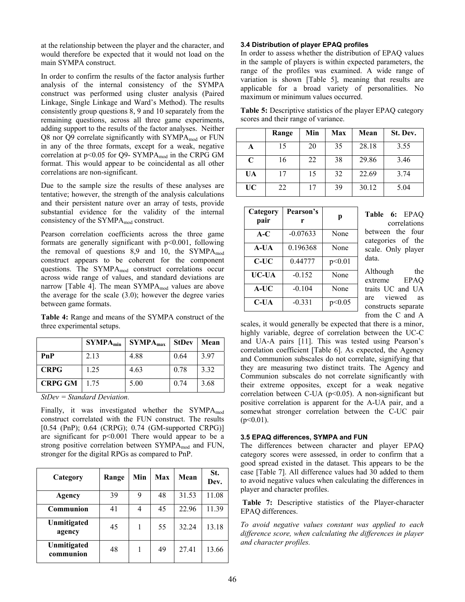at the relationship between the player and the character, and would therefore be expected that it would not load on the main SYMPA construct.

In order to confirm the results of the factor analysis further analysis of the internal consistency of the SYMPA construct was performed using cluster analysis (Paired Linkage, Single Linkage and Ward's Method). The results consistently group questions 8, 9 and 10 separately from the remaining questions, across all three game experiments, adding support to the results of the factor analyses. Neither Q8 nor Q9 correlate significantly with  $SYMPA_{mod}$  or FUN in any of the three formats, except for a weak, negative correlation at  $p<0.05$  for Q9- SYMPA<sub>mod</sub> in the CRPG GM format. This would appear to be coincidental as all other correlations are non-significant.

Due to the sample size the results of these analyses are tentative; however, the strength of the analysis calculations and their persistent nature over an array of tests, provide substantial evidence for the validity of the internal consistency of the  $SYMPA_{mod}$  construct.

Pearson correlation coefficients across the three game formats are generally significant with p<0.001, following the removal of questions  $8.9$  and  $10$ , the SYMPA<sub>mod</sub> construct appears to be coherent for the component questions. The SYMPA<sub>mod</sub> construct correlations occur across wide range of values, and standard deviations are narrow [Table 4]. The mean  $SYMPA_{mod}$  values are above the average for the scale (3.0); however the degree varies between game formats.

**Table 4:** Range and means of the SYMPA construct of the three experimental setups.

|                | $\mathbf{SYMPA}_{\min}$ | SYMPA <sub>max</sub> | <b>StDev</b> | Mean |
|----------------|-------------------------|----------------------|--------------|------|
| PnP            | 2.13                    | 4.88                 | 0.64         | 3.97 |
| <b>CRPG</b>    | 1.25                    | 4.63                 | 0.78         | 3.32 |
| <b>CRPG GM</b> | 1.75                    | 5.00                 | 0.74         | 3.68 |

*StDev = Standard Deviation.* 

Finally, it was investigated whether the  $SYMPA_{mod}$ construct correlated with the FUN construct. The results [0.54 (PnP); 0.64 (CRPG); 0.74 (GM-supported CRPG)] are significant for  $p<0.001$  There would appear to be a strong positive correlation between  $SYMPA_{mod}$  and FUN, stronger for the digital RPGs as compared to PnP.

| Category                 | Range | Min | Max | Mean  | St.<br>Dev. |
|--------------------------|-------|-----|-----|-------|-------------|
| Agency                   | 39    | 9   | 48  | 31.53 | 11.08       |
| Communion                | 41    | 4   | 45  | 22.96 | 11.39       |
| Unmitigated<br>agency    | 45    |     | 55  | 32.24 | 13.18       |
| Unmitigated<br>communion | 48    |     | 49  | 27.41 | 13.66       |

#### **3.4 Distribution of player EPAQ profiles**

In order to assess whether the distribution of EPAQ values in the sample of players is within expected parameters, the range of the profiles was examined. A wide range of variation is shown [Table 5], meaning that results are applicable for a broad variety of personalities. No maximum or minimum values occurred.

**Table 5:** Descriptive statistics of the player EPAQ category scores and their range of variance.

|           | Range | Min | Max | Mean  | St. Dev. |
|-----------|-------|-----|-----|-------|----------|
| A         | 15    | 20  | 35  | 28.18 | 3.55     |
| C         | 16    | 22  | 38  | 29.86 | 3.46     |
| UA        | 17    | 15  | 32  | 22.69 | 3.74     |
| <b>UC</b> | 22    | 17  | 39  | 30.12 | 5.04     |

| Category<br>pair | Pearson's<br>r | р      |
|------------------|----------------|--------|
| $A-C$            | $-0.07633$     | None   |
| A-UA             | 0.196368       | None   |
| C-UC             | 0.44777        | p<0.01 |
| UC-UA            | $-0.152$       | None   |
| A-UC             | $-0.104$       | None   |
| C-UA             | $-0.331$       | p<0.05 |

**Table 6:** EPAQ correlations between the four categories of the scale. Only player data.

Although the extreme EPAQ traits UC and UA are viewed as constructs separate from the C and A

scales, it would generally be expected that there is a minor, highly variable, degree of correlation between the UC-C and UA-A pairs [11]. This was tested using Pearson's correlation coefficient [Table 6]. As expected, the Agency and Communion subscales do not correlate, signifying that they are measuring two distinct traits. The Agency and Communion subscales do not correlate significantly with their extreme opposites, except for a weak negative correlation between C-UA ( $p$ <0.05). A non-significant but positive correlation is apparent for the A-UA pair, and a somewhat stronger correlation between the C-UC pair  $(p<0.01)$ .

## **3.5 EPAQ differences, SYMPA and FUN**

The differences between character and player EPAQ category scores were assessed, in order to confirm that a good spread existed in the dataset. This appears to be the case [Table 7]. All difference values had 30 added to them to avoid negative values when calculating the differences in player and character profiles.

 **Table 7:** Descriptive statistics of the Player-character EPAQ differences.

*To avoid negative values constant was applied to each difference score, when calculating the differences in player and character profiles.*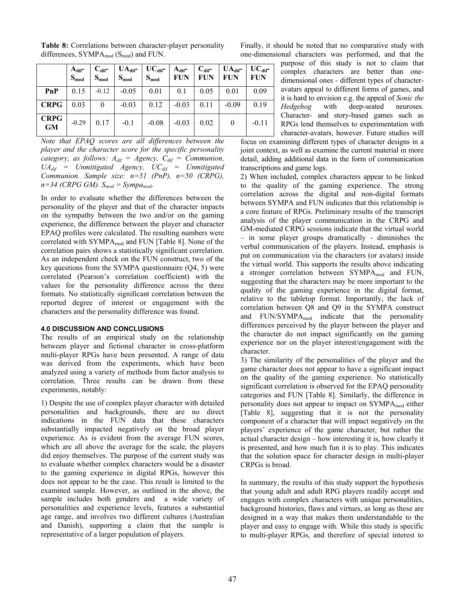|                          | $A_{\text{dif}}^-$<br>$S_{mod}$ | $C_{\text{dif}}$<br>$S_{mod}$ | $UA_{\text{dif}}$<br>$S_{mod}$ | $\mathbf{UC}_{\text{dif}}$<br>$S_{mod}$ | $A_{\text{dif}}$<br><b>FUN</b> | $C_{\text{dif}}$<br><b>FUN</b> | $UA_{\text{dif}}$<br><b>FUN</b> | $UC_{\text{dif}}$<br><b>FUN</b> |
|--------------------------|---------------------------------|-------------------------------|--------------------------------|-----------------------------------------|--------------------------------|--------------------------------|---------------------------------|---------------------------------|
| PnP                      | 0.15                            | $-0.12$                       | $-0.05$                        | 0.01                                    | 0.1                            | 0.05                           | 0.01                            | 0.09                            |
| <b>CRPG</b>              | 0.03                            | 0                             | $-0.03$                        | 0.12                                    | $-0.03$                        | 0.11                           | $-0.09$                         | 0.19                            |
| <b>CRPG</b><br><b>GM</b> | $-0.29$                         | 0.17                          | $-0.1$                         | $-0.08$                                 | $-0.03$                        | 0.02                           | $\boldsymbol{0}$                | $-0.11$                         |

**Table 8:** Correlations between character-player personality differences,  $SYMPA_{mod}$  (S<sub>mod</sub>) and FUN.

Finally, it should be noted that no comparative study with one-dimensional characters was performed, and that the

*Note that EPAQ scores are all differences between the player and the character score for the specific personality category, as follows:*  $A_{dif} = \text{Agency}, C_{dif} = \text{Communicum}$  $UA_{dif}$  = Unmitigated Agency,  $UC_{dif}$  = Unmitigated *Communion. Sample size: n=51 (PnP), n=50 (CRPG),*   $n=34$  (CRPG GM).  $S_{mod} = Sympa_{mod}$ .

In order to evaluate whether the differences between the personality of the player and that of the character impacts on the sympathy between the two and/or on the gaming experience, the difference between the player and character EPAQ profiles were calculated. The resulting numbers were correlated with SYMPA<sub>mod</sub> and FUN [Table 8]. None of the correlation pairs shows a statistically significant correlation. As an independent check on the FUN construct, two of the key questions from the SYMPA questionnaire (Q4, 5) were correlated (Pearson's correlation coefficient) with the values for the personality difference across the three formats. No statistically significant correlation between the reported degree of interest or engagement with the characters and the personality difference was found.

#### **4.0 DISCUSSION AND CONCLUSIONS**

The results of an empirical study on the relationship between player and fictional character in cross-platform multi-player RPGs have been presented. A range of data was derived from the experiments, which have been analyzed using a variety of methods from factor analysis to correlation. Three results can be drawn from these experiments, notably:

1) Despite the use of complex player character with detailed personalities and backgrounds, there are no direct indications in the FUN data that these characters substantially impacted negatively on the broad player experience. As is evident from the average FUN scores, which are all above the average for the scale, the players did enjoy themselves. The purpose of the current study was to evaluate whether complex characters would be a disaster to the gaming experience in digital RPGs, however this does not appear to be the case. This result is limited to the examined sample. However, as outlined in the above, the sample includes both genders and a wide variety of personalities and experience levels, features a substantial age range, and involves two different cultures (Australian and Danish), supporting a claim that the sample is representative of a larger population of players.

purpose of this study is not to claim that complex characters are better than onedimensional ones - different types of characteravatars appeal to different forms of games, and it is hard to envision e.g. the appeal of *Sonic the Hedgehog* with deep-seated neuroses. Character- and story-based games such as RPGs lend themselves to experimentation with character-avatars, however. Future studies will

focus on examining different types of character designs in a joint context, as well as examine the current material in more detail, adding additional data in the form of communication transcriptions and game logs.

2) When included, complex characters appear to be linked to the quality of the gaming experience. The strong correlation across the digital and non-digital formats between SYMPA and FUN indicates that this relationship is a core feature of RPGs. Preliminary results of the transcript analysis of the player communication in the CRPG and GM-mediated CRPG sessions indicate that the virtual world – in some player groups dramatically - diminishes the verbal communication of the players. Instead, emphasis is put on communication via the characters (or avatars) inside the virtual world. This supports the results above indicating a stronger correlation between SYMPAmod and FUN, suggesting that the characters may be more important to the quality of the gaming experience in the digital format, relative to the tabletop format. Importantly, the lack of correlation between Q8 and Q9 in the SYMPA construct and  $FUN/SYMPA_{mod}$  indicate that the personality differences perceived by the player between the player and the character do not impact significantly on the gaming experience nor on the player interest/engagement with the character.

3) The similarity of the personalities of the player and the game character does not appear to have a significant impact on the quality of the gaming experience. No statistically significant correlation is observed for the EPAQ personality categories and FUN [Table 8]. Similarly, the difference in personality does not appear to impact on SYMPA<sub>mod</sub> either [Table 8], suggesting that it is not the personality component of a character that will impact negatively on the players' experience of the game character, but rather the actual character design – how interesting it is, how clearly it is presented, and how much fun it is to play. This indicates that the solution space for character design in multi-player CRPGs is broad.

In summary, the results of this study support the hypothesis that young adult and adult RPG players readily accept and engages with complex characters with unique personalities, background histories, flaws and virtues, as long as these are designed in a way that makes them understandable to the player and easy to engage with. While this study is specific to multi-player RPGs, and therefore of special interest to